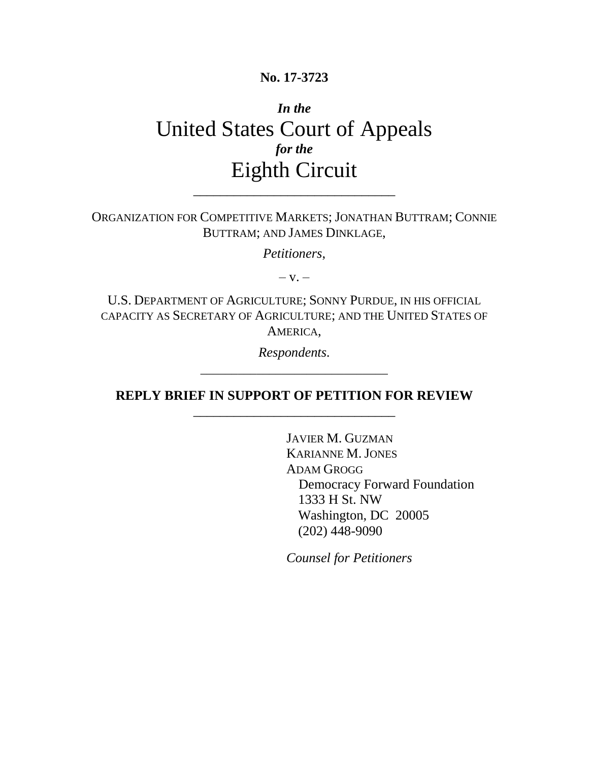### **No. 17-3723**

# *In the* United States Court of Appeals *for the* Eighth Circuit

ORGANIZATION FOR COMPETITIVE MARKETS; JONATHAN BUTTRAM; CONNIE BUTTRAM; AND JAMES DINKLAGE,

\_\_\_\_\_\_\_\_\_\_\_\_\_\_\_\_\_\_\_\_\_\_\_\_\_\_\_\_\_\_

*Petitioners*,

 $-V =$ 

U.S. DEPARTMENT OF AGRICULTURE; SONNY PURDUE, IN HIS OFFICIAL CAPACITY AS SECRETARY OF AGRICULTURE; AND THE UNITED STATES OF AMERICA,

> *Respondents.* \_\_\_\_\_\_\_\_\_\_\_\_\_\_\_\_\_\_\_\_\_\_\_\_\_\_\_\_\_\_

**REPLY BRIEF IN SUPPORT OF PETITION FOR REVIEW** \_\_\_\_\_\_\_\_\_\_\_\_\_\_\_\_\_\_\_\_\_\_\_\_\_\_\_\_\_\_

> JAVIER M. GUZMAN KARIANNE M.JONES ADAM GROGG Democracy Forward Foundation 1333 H St. NW Washington, DC 20005 (202) 448-9090

*Counsel for Petitioners*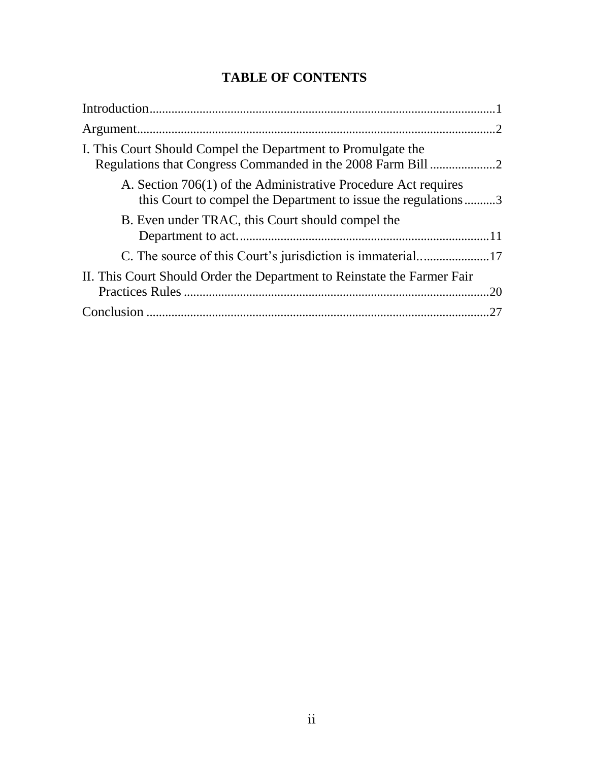## **TABLE OF CONTENTS**

| I. This Court Should Compel the Department to Promulgate the                                                                    |
|---------------------------------------------------------------------------------------------------------------------------------|
| A. Section 706(1) of the Administrative Procedure Act requires<br>this Court to compel the Department to issue the regulations3 |
| B. Even under TRAC, this Court should compel the                                                                                |
|                                                                                                                                 |
|                                                                                                                                 |
| II. This Court Should Order the Department to Reinstate the Farmer Fair                                                         |
| .20                                                                                                                             |
| .27                                                                                                                             |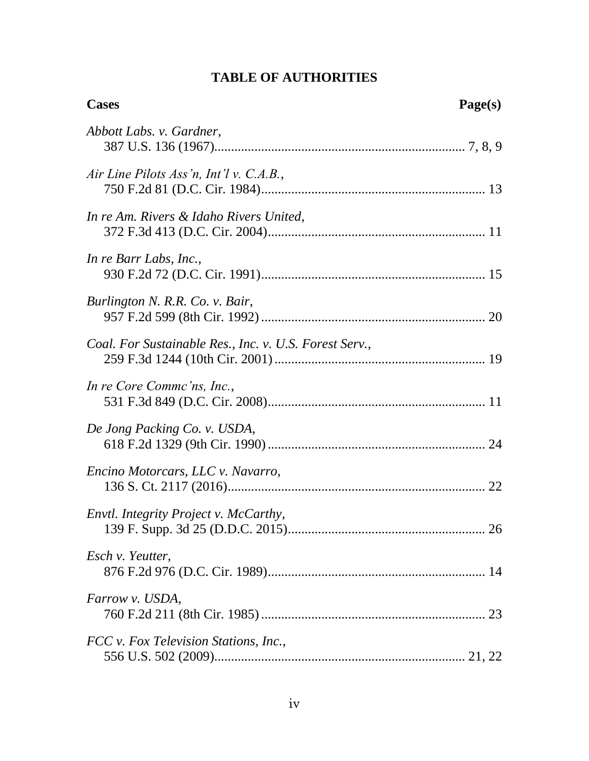## **TABLE OF AUTHORITIES**

| <b>Cases</b>                                           | Page(s) |
|--------------------------------------------------------|---------|
| Abbott Labs. v. Gardner,                               |         |
| Air Line Pilots Ass'n, Int'l v. C.A.B.,                |         |
| In re Am. Rivers & Idaho Rivers United,                |         |
| In re Barr Labs, Inc.,                                 |         |
| Burlington N. R.R. Co. v. Bair,                        |         |
| Coal. For Sustainable Res., Inc. v. U.S. Forest Serv., |         |
| In re Core Commc'ns, Inc.,                             |         |
| De Jong Packing Co. v. USDA,                           |         |
| Encino Motorcars, LLC v. Navarro,                      |         |
| Envtl. Integrity Project v. McCarthy,                  |         |
| Esch v. Yeutter,                                       |         |
| Farrow v. USDA,                                        |         |
| FCC v. Fox Television Stations, Inc.,                  |         |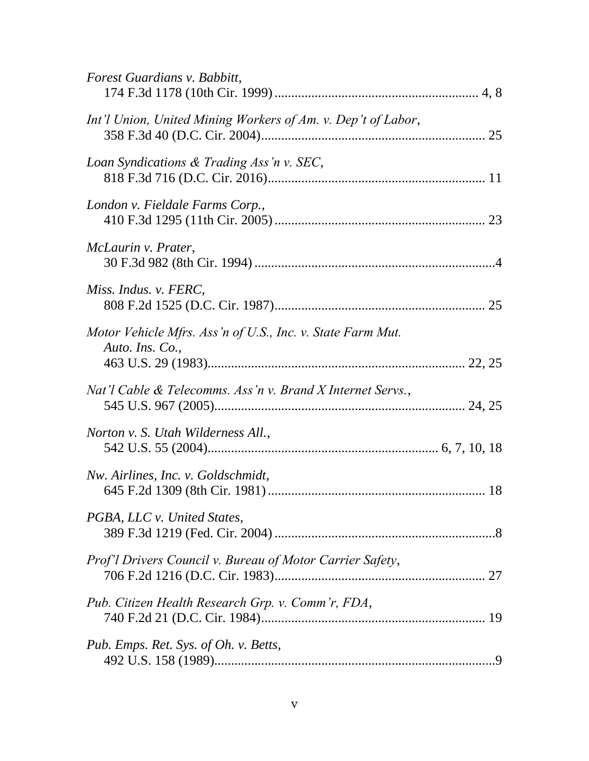| Forest Guardians v. Babbitt,                                                   |  |
|--------------------------------------------------------------------------------|--|
| Int'l Union, United Mining Workers of Am. v. Dep't of Labor,                   |  |
| Loan Syndications & Trading Ass'n v. SEC,                                      |  |
| London v. Fieldale Farms Corp.,                                                |  |
| McLaurin v. Prater,                                                            |  |
| Miss. Indus. v. FERC,                                                          |  |
| Motor Vehicle Mfrs. Ass 'n of U.S., Inc. v. State Farm Mut.<br>Auto. Ins. Co., |  |
| Nat'l Cable & Telecomms. Ass'n v. Brand X Internet Servs.,                     |  |
| Norton v. S. Utah Wilderness All.,                                             |  |
| Nw. Airlines, Inc. v. Goldschmidt,                                             |  |
| PGBA, LLC v. United States,                                                    |  |
| Prof'l Drivers Council v. Bureau of Motor Carrier Safety,                      |  |
| Pub. Citizen Health Research Grp. v. Comm'r, FDA,                              |  |
| Pub. Emps. Ret. Sys. of Oh. v. Betts,                                          |  |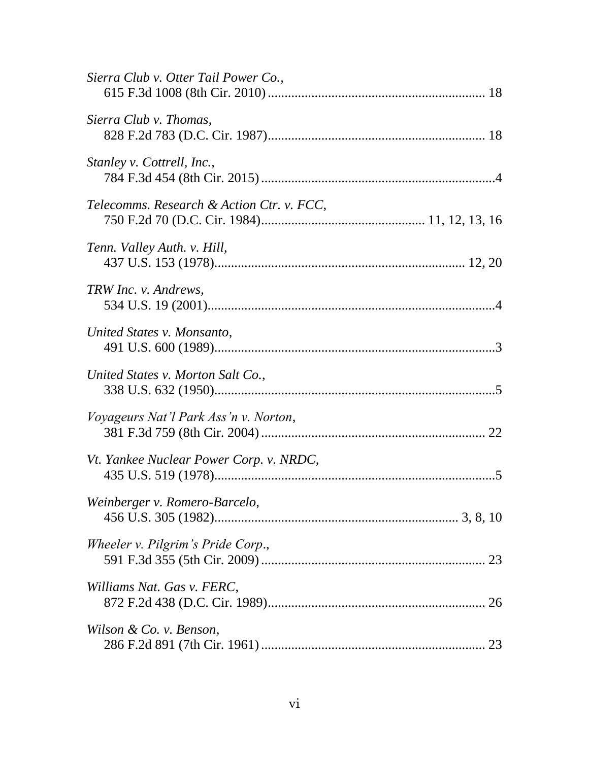| Sierra Club v. Otter Tail Power Co.,         |  |
|----------------------------------------------|--|
| Sierra Club v. Thomas,                       |  |
| Stanley v. Cottrell, Inc.,                   |  |
| Telecomms. Research & Action Ctr. v. FCC,    |  |
| Tenn. Valley Auth. v. Hill,                  |  |
| TRW Inc. v. Andrews,                         |  |
| United States v. Monsanto,                   |  |
| United States v. Morton Salt Co.,            |  |
| <i>Voyageurs Nat'l Park Ass'n v. Norton,</i> |  |
| Vt. Yankee Nuclear Power Corp. v. NRDC,      |  |
| Weinberger v. Romero-Barcelo,                |  |
| Wheeler v. Pilgrim's Pride Corp.,            |  |
| Williams Nat. Gas v. FERC,                   |  |
| Wilson & Co. v. Benson,                      |  |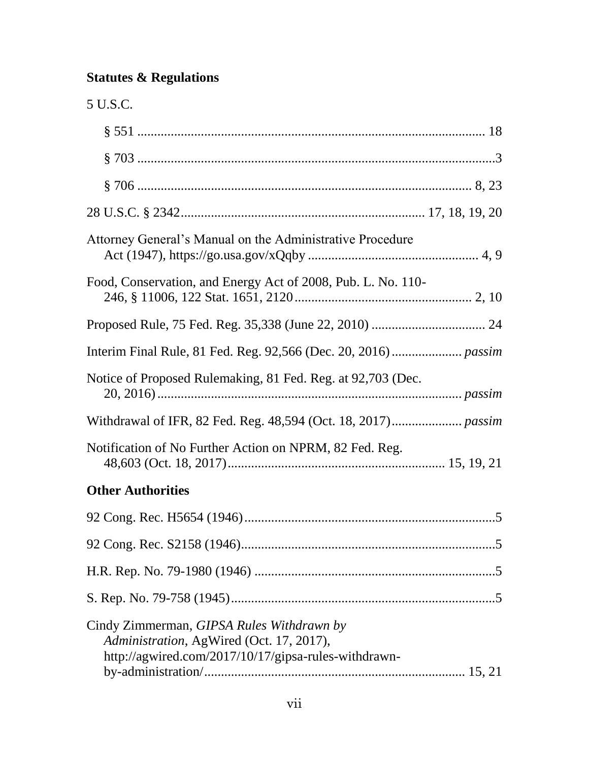## **Statutes & Regulations**

| 5 U.S.C.                                                                                                                                      |  |
|-----------------------------------------------------------------------------------------------------------------------------------------------|--|
|                                                                                                                                               |  |
|                                                                                                                                               |  |
|                                                                                                                                               |  |
|                                                                                                                                               |  |
| Attorney General's Manual on the Administrative Procedure                                                                                     |  |
| Food, Conservation, and Energy Act of 2008, Pub. L. No. 110-                                                                                  |  |
|                                                                                                                                               |  |
|                                                                                                                                               |  |
| Notice of Proposed Rulemaking, 81 Fed. Reg. at 92,703 (Dec.                                                                                   |  |
|                                                                                                                                               |  |
| Notification of No Further Action on NPRM, 82 Fed. Reg.                                                                                       |  |
| <b>Other Authorities</b>                                                                                                                      |  |
|                                                                                                                                               |  |
|                                                                                                                                               |  |
|                                                                                                                                               |  |
|                                                                                                                                               |  |
| Cindy Zimmerman, GIPSA Rules Withdrawn by<br>Administration, AgWired (Oct. 17, 2017),<br>http://agwired.com/2017/10/17/gipsa-rules-withdrawn- |  |

by-administration/.............................................................................. [15,](#page-21-2) 21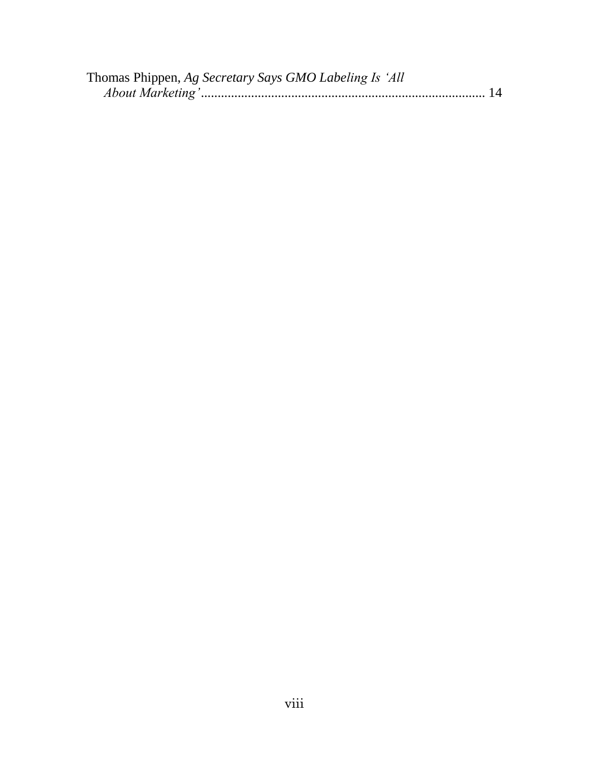| Thomas Phippen, Ag Secretary Says GMO Labeling Is 'All |  |
|--------------------------------------------------------|--|
|                                                        |  |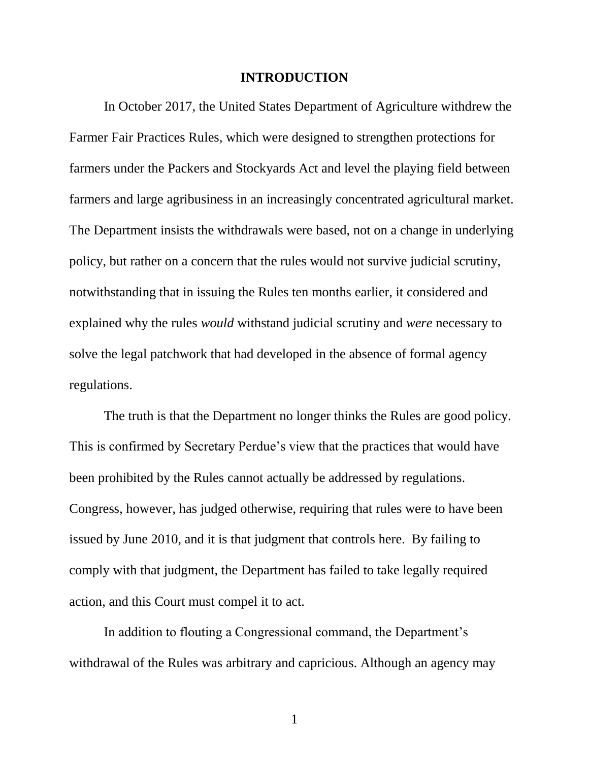#### **INTRODUCTION**

<span id="page-7-0"></span>In October 2017, the United States Department of Agriculture withdrew the Farmer Fair Practices Rules, which were designed to strengthen protections for farmers under the Packers and Stockyards Act and level the playing field between farmers and large agribusiness in an increasingly concentrated agricultural market. The Department insists the withdrawals were based, not on a change in underlying policy, but rather on a concern that the rules would not survive judicial scrutiny, notwithstanding that in issuing the Rules ten months earlier, it considered and explained why the rules *would* withstand judicial scrutiny and *were* necessary to solve the legal patchwork that had developed in the absence of formal agency regulations.

The truth is that the Department no longer thinks the Rules are good policy. This is confirmed by Secretary Perdue's view that the practices that would have been prohibited by the Rules cannot actually be addressed by regulations. Congress, however, has judged otherwise, requiring that rules were to have been issued by June 2010, and it is that judgment that controls here. By failing to comply with that judgment, the Department has failed to take legally required action, and this Court must compel it to act.

In addition to flouting a Congressional command, the Department's withdrawal of the Rules was arbitrary and capricious. Although an agency may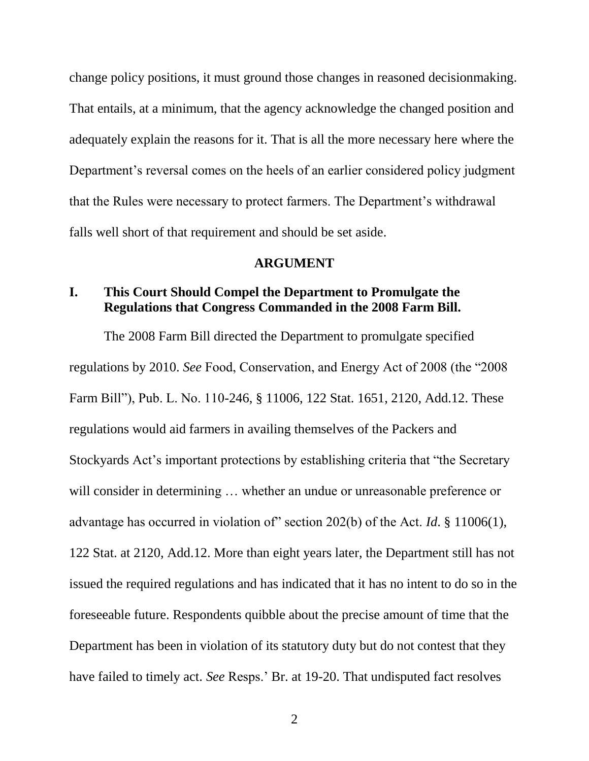change policy positions, it must ground those changes in reasoned decisionmaking. That entails, at a minimum, that the agency acknowledge the changed position and adequately explain the reasons for it. That is all the more necessary here where the Department's reversal comes on the heels of an earlier considered policy judgment that the Rules were necessary to protect farmers. The Department's withdrawal falls well short of that requirement and should be set aside.

#### <span id="page-8-1"></span>**ARGUMENT**

## <span id="page-8-0"></span>**I. This Court Should Compel the Department to Promulgate the Regulations that Congress Commanded in the 2008 Farm Bill.**

The 2008 Farm Bill directed the Department to promulgate specified regulations by 2010. *See* Food, Conservation, and Energy Act of 2008 (the "2008 Farm Bill"), Pub. L. No. 110-246, § 11006, 122 Stat. 1651, 2120, Add.12. These regulations would aid farmers in availing themselves of the Packers and Stockyards Act's important protections by establishing criteria that "the Secretary will consider in determining ... whether an undue or unreasonable preference or advantage has occurred in violation of" section 202(b) of the Act. *Id*. § 11006(1), 122 Stat. at 2120, Add.12. More than eight years later, the Department still has not issued the required regulations and has indicated that it has no intent to do so in the foreseeable future. Respondents quibble about the precise amount of time that the Department has been in violation of its statutory duty but do not contest that they have failed to timely act. *See* Resps.' Br. at 19-20. That undisputed fact resolves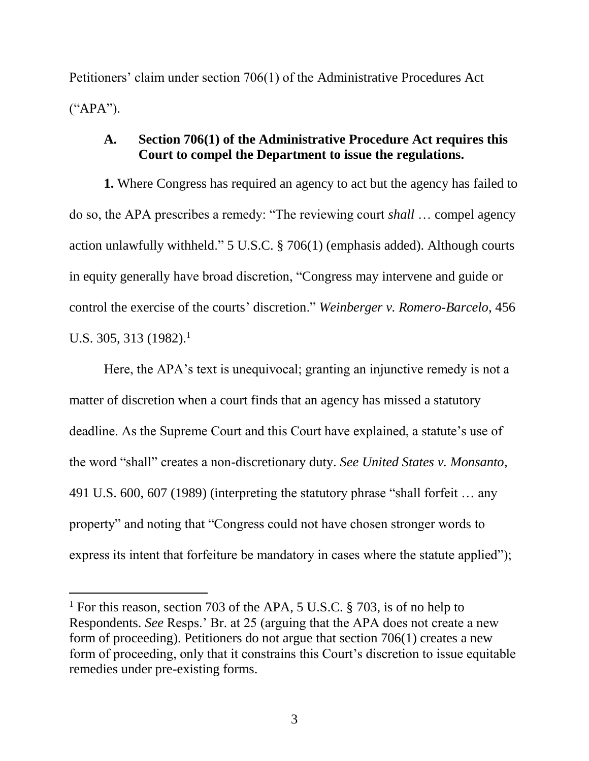Petitioners' claim under section 706(1) of the Administrative Procedures Act ("APA").

## **A. Section 706(1) of the Administrative Procedure Act requires this Court to compel the Department to issue the regulations.**

**1.** Where Congress has required an agency to act but the agency has failed to do so, the APA prescribes a remedy: "The reviewing court *shall* … compel agency action unlawfully withheld." 5 U.S.C. § 706(1) (emphasis added). Although courts in equity generally have broad discretion, "Congress may intervene and guide or control the exercise of the courts' discretion." *Weinberger v. Romero-Barcelo*, 456 U.S. 305, 313 (1982).<sup>1</sup>

<span id="page-9-1"></span><span id="page-9-0"></span>Here, the APA's text is unequivocal; granting an injunctive remedy is not a matter of discretion when a court finds that an agency has missed a statutory deadline. As the Supreme Court and this Court have explained, a statute's use of the word "shall" creates a non-discretionary duty. *See United States v. Monsanto*, 491 U.S. 600, 607 (1989) (interpreting the statutory phrase "shall forfeit … any property" and noting that "Congress could not have chosen stronger words to express its intent that forfeiture be mandatory in cases where the statute applied");

<span id="page-9-2"></span> $\overline{a}$ 

<sup>&</sup>lt;sup>1</sup> For this reason, section 703 of the APA, 5 U.S.C.  $\S$  703, is of no help to Respondents. *See* Resps.' Br. at 25 (arguing that the APA does not create a new form of proceeding). Petitioners do not argue that section 706(1) creates a new form of proceeding, only that it constrains this Court's discretion to issue equitable remedies under pre-existing forms.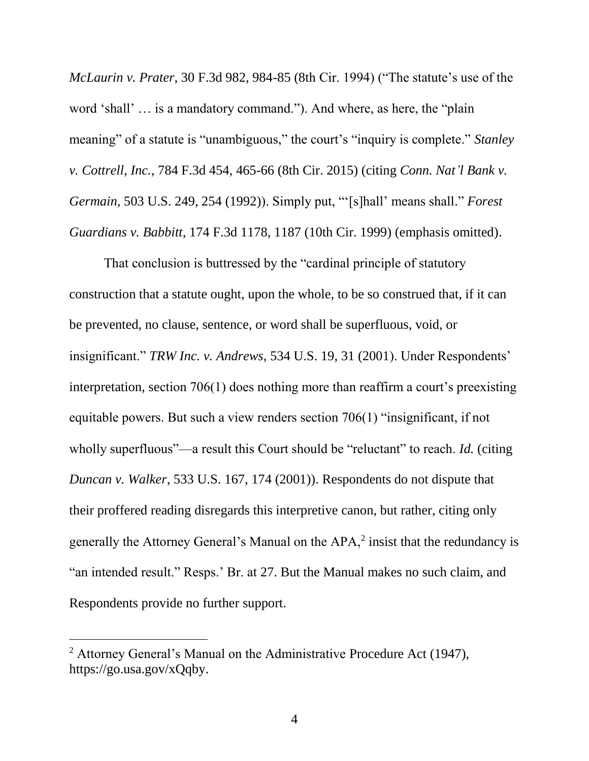<span id="page-10-2"></span><span id="page-10-1"></span>*McLaurin v. Prater*, 30 F.3d 982, 984-85 (8th Cir. 1994) ("The statute's use of the word 'shall' … is a mandatory command."). And where, as here, the "plain meaning" of a statute is "unambiguous," the court's "inquiry is complete." *Stanley v. Cottrell, Inc.*, 784 F.3d 454, 465-66 (8th Cir. 2015) (citing *Conn. Nat'l Bank v. Germain*, 503 U.S. 249, 254 (1992)). Simply put, "'[s]hall' means shall." *Forest Guardians v. Babbitt*, 174 F.3d 1178, 1187 (10th Cir. 1999) (emphasis omitted).

<span id="page-10-3"></span><span id="page-10-0"></span>That conclusion is buttressed by the "cardinal principle of statutory construction that a statute ought, upon the whole, to be so construed that, if it can be prevented, no clause, sentence, or word shall be superfluous, void, or insignificant." *TRW Inc. v. Andrews*, 534 U.S. 19, 31 (2001). Under Respondents' interpretation, section 706(1) does nothing more than reaffirm a court's preexisting equitable powers. But such a view renders section 706(1) "insignificant, if not wholly superfluous"—a result this Court should be "reluctant" to reach. *Id.* (citing *Duncan v. Walker*, 533 U.S. 167, 174 (2001)). Respondents do not dispute that their proffered reading disregards this interpretive canon, but rather, citing only generally the Attorney General's Manual on the  $APA$ , insist that the redundancy is "an intended result." Resps.' Br. at 27. But the Manual makes no such claim, and Respondents provide no further support.

 $\overline{a}$ 

<span id="page-10-4"></span><sup>2</sup> Attorney General's Manual on the Administrative Procedure Act (1947), https://go.usa.gov/xQqby.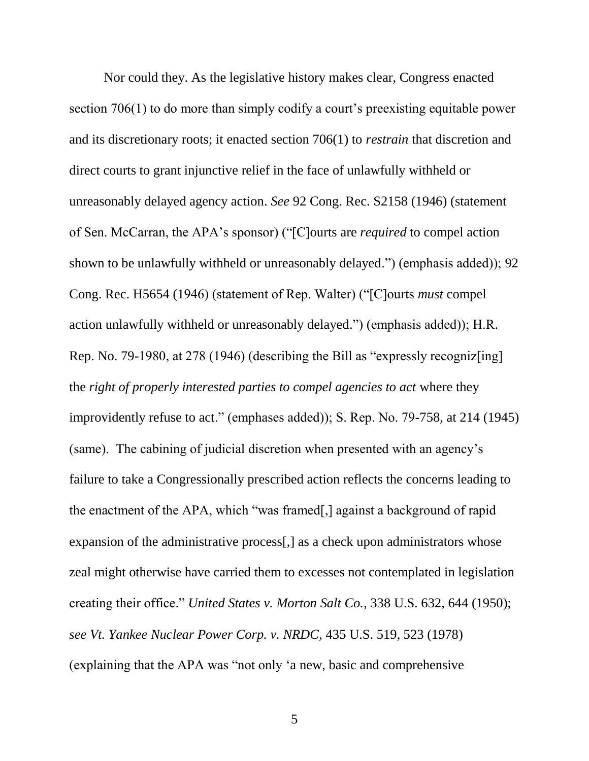<span id="page-11-5"></span><span id="page-11-4"></span><span id="page-11-3"></span><span id="page-11-2"></span><span id="page-11-1"></span><span id="page-11-0"></span>Nor could they. As the legislative history makes clear, Congress enacted section 706(1) to do more than simply codify a court's preexisting equitable power and its discretionary roots; it enacted section 706(1) to *restrain* that discretion and direct courts to grant injunctive relief in the face of unlawfully withheld or unreasonably delayed agency action. *See* 92 Cong. Rec. S2158 (1946) (statement of Sen. McCarran, the APA's sponsor) ("[C]ourts are *required* to compel action shown to be unlawfully withheld or unreasonably delayed.") (emphasis added)); 92 Cong. Rec. H5654 (1946) (statement of Rep. Walter) ("[C]ourts *must* compel action unlawfully withheld or unreasonably delayed.") (emphasis added)); H.R. Rep. No. 79-1980, at 278 (1946) (describing the Bill as "expressly recogniz[ing] the *right of properly interested parties to compel agencies to act* where they improvidently refuse to act." (emphases added)); S. Rep. No. 79-758, at 214 (1945) (same). The cabining of judicial discretion when presented with an agency's failure to take a Congressionally prescribed action reflects the concerns leading to the enactment of the APA, which "was framed[,] against a background of rapid expansion of the administrative process[,] as a check upon administrators whose zeal might otherwise have carried them to excesses not contemplated in legislation creating their office." *United States v. Morton Salt Co.*, 338 U.S. 632, 644 (1950); *see Vt. Yankee Nuclear Power Corp. v. NRDC*, 435 U.S. 519, 523 (1978) (explaining that the APA was "not only 'a new, basic and comprehensive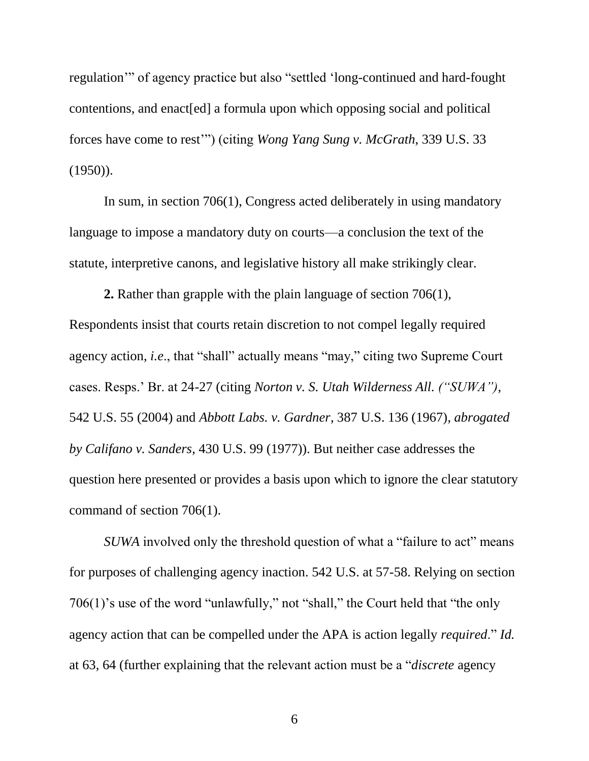regulation'" of agency practice but also "settled 'long-continued and hard-fought contentions, and enact[ed] a formula upon which opposing social and political forces have come to rest'") (citing *Wong Yang Sung v. McGrath*, 339 U.S. 33  $(1950)$ ).

In sum, in section 706(1), Congress acted deliberately in using mandatory language to impose a mandatory duty on courts—a conclusion the text of the statute, interpretive canons, and legislative history all make strikingly clear.

**2.** Rather than grapple with the plain language of section 706(1), Respondents insist that courts retain discretion to not compel legally required agency action, *i.e*., that "shall" actually means "may," citing two Supreme Court cases. Resps.' Br. at 24-27 (citing *Norton v. S. Utah Wilderness All. ("SUWA")*, 542 U.S. 55 (2004) and *Abbott Labs. v. Gardner*, 387 U.S. 136 (1967), *abrogated by Califano v. Sanders*, 430 U.S. 99 (1977)). But neither case addresses the question here presented or provides a basis upon which to ignore the clear statutory command of section 706(1).

<span id="page-12-0"></span>*SUWA* involved only the threshold question of what a "failure to act" means for purposes of challenging agency inaction. 542 U.S. at 57-58. Relying on section 706(1)'s use of the word "unlawfully," not "shall," the Court held that "the only agency action that can be compelled under the APA is action legally *required*." *Id.* at 63, 64 (further explaining that the relevant action must be a "*discrete* agency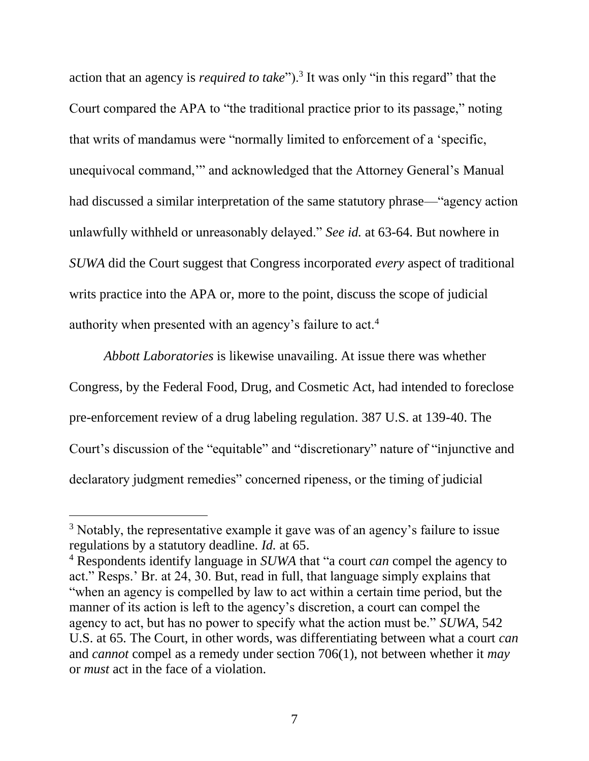action that an agency is *required to take*").<sup>3</sup> It was only "in this regard" that the Court compared the APA to "the traditional practice prior to its passage," noting that writs of mandamus were "normally limited to enforcement of a 'specific, unequivocal command,'" and acknowledged that the Attorney General's Manual had discussed a similar interpretation of the same statutory phrase—"agency action unlawfully withheld or unreasonably delayed." *See id.* at 63-64. But nowhere in *SUWA* did the Court suggest that Congress incorporated *every* aspect of traditional writs practice into the APA or, more to the point, discuss the scope of judicial authority when presented with an agency's failure to act.<sup>4</sup>

<span id="page-13-0"></span>*Abbott Laboratories* is likewise unavailing. At issue there was whether Congress, by the Federal Food, Drug, and Cosmetic Act, had intended to foreclose pre-enforcement review of a drug labeling regulation. 387 U.S. at 139-40. The Court's discussion of the "equitable" and "discretionary" nature of "injunctive and declaratory judgment remedies" concerned ripeness, or the timing of judicial

<span id="page-13-1"></span>l

<sup>&</sup>lt;sup>3</sup> Notably, the representative example it gave was of an agency's failure to issue regulations by a statutory deadline. *Id.* at 65.

<sup>4</sup> Respondents identify language in *SUWA* that "a court *can* compel the agency to act." Resps.' Br. at 24, 30. But, read in full, that language simply explains that "when an agency is compelled by law to act within a certain time period, but the manner of its action is left to the agency's discretion, a court can compel the agency to act, but has no power to specify what the action must be." *SUWA*, 542 U.S. at 65*.* The Court, in other words, was differentiating between what a court *can* and *cannot* compel as a remedy under section 706(1), not between whether it *may* or *must* act in the face of a violation.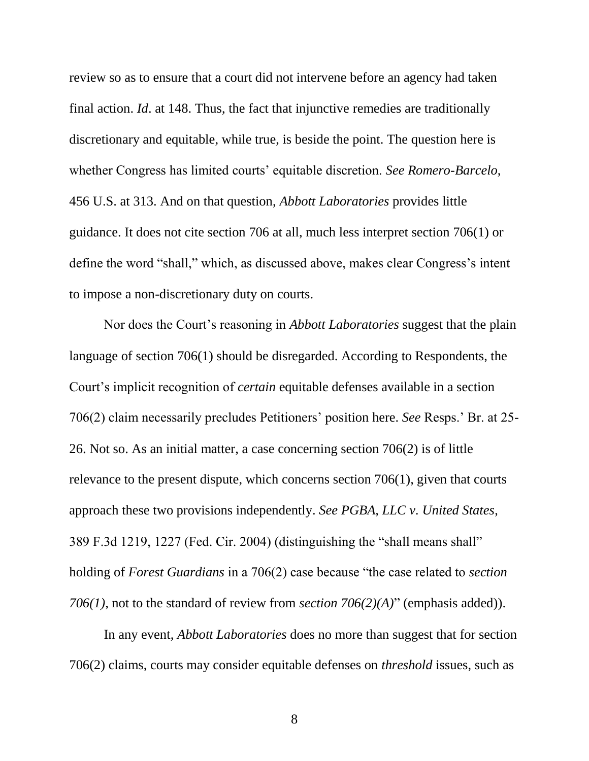<span id="page-14-3"></span><span id="page-14-0"></span>review so as to ensure that a court did not intervene before an agency had taken final action. *Id*. at 148. Thus, the fact that injunctive remedies are traditionally discretionary and equitable, while true, is beside the point. The question here is whether Congress has limited courts' equitable discretion. *See Romero-Barcelo*, 456 U.S. at 313. And on that question, *Abbott Laboratories* provides little guidance. It does not cite section 706 at all, much less interpret section 706(1) or define the word "shall," which, as discussed above, makes clear Congress's intent to impose a non-discretionary duty on courts.

Nor does the Court's reasoning in *Abbott Laboratories* suggest that the plain language of section 706(1) should be disregarded. According to Respondents, the Court's implicit recognition of *certain* equitable defenses available in a section 706(2) claim necessarily precludes Petitioners' position here. *See* Resps.' Br. at 25- 26. Not so. As an initial matter, a case concerning section 706(2) is of little relevance to the present dispute, which concerns section 706(1), given that courts approach these two provisions independently. *See PGBA, LLC v. United States*, 389 F.3d 1219, 1227 (Fed. Cir. 2004) (distinguishing the "shall means shall" holding of *Forest Guardians* in a 706(2) case because "the case related to *section 706(1)*, not to the standard of review from *section 706(2)(A)*" (emphasis added)).

<span id="page-14-4"></span><span id="page-14-2"></span><span id="page-14-1"></span>In any event, *Abbott Laboratories* does no more than suggest that for section 706(2) claims, courts may consider equitable defenses on *threshold* issues, such as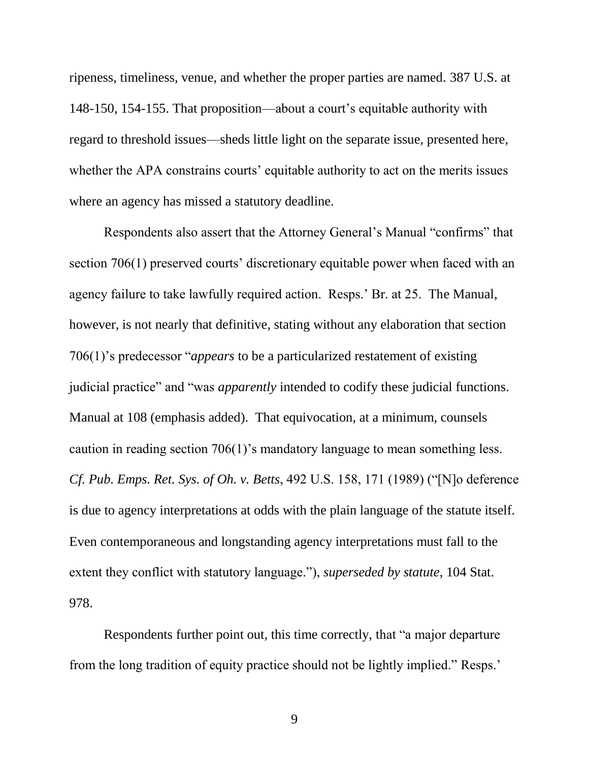<span id="page-15-0"></span>ripeness, timeliness, venue, and whether the proper parties are named. 387 U.S. at 148-150, 154-155. That proposition—about a court's equitable authority with regard to threshold issues—sheds little light on the separate issue, presented here, whether the APA constrains courts' equitable authority to act on the merits issues where an agency has missed a statutory deadline.

Respondents also assert that the Attorney General's Manual "confirms" that section 706(1) preserved courts' discretionary equitable power when faced with an agency failure to take lawfully required action. Resps.' Br. at 25. The Manual, however, is not nearly that definitive, stating without any elaboration that section 706(1)'s predecessor "*appears* to be a particularized restatement of existing judicial practice" and "was *apparently* intended to codify these judicial functions. Manual at 108 (emphasis added). That equivocation, at a minimum, counsels caution in reading section 706(1)'s mandatory language to mean something less. *Cf. Pub. Emps. Ret. Sys. of Oh. v. Betts*, 492 U.S. 158, 171 (1989) ("[N]o deference is due to agency interpretations at odds with the plain language of the statute itself. Even contemporaneous and longstanding agency interpretations must fall to the extent they conflict with statutory language."), *superseded by statute*, 104 Stat. 978.

<span id="page-15-1"></span>Respondents further point out, this time correctly, that "a major departure from the long tradition of equity practice should not be lightly implied." Resps.'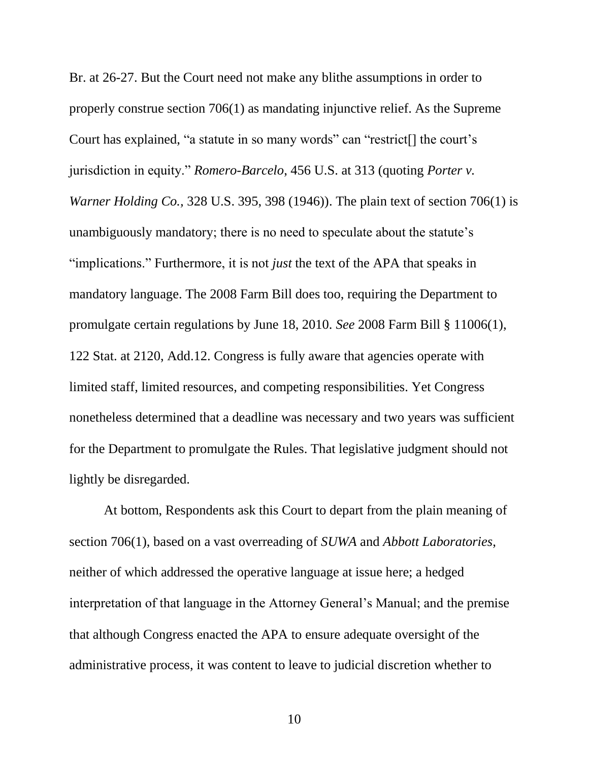<span id="page-16-1"></span>Br. at 26-27. But the Court need not make any blithe assumptions in order to properly construe section 706(1) as mandating injunctive relief. As the Supreme Court has explained, "a statute in so many words" can "restrict[] the court's jurisdiction in equity." *Romero-Barcelo*, 456 U.S. at 313 (quoting *Porter v. Warner Holding Co.,* 328 U.S. 395, 398 (1946)). The plain text of section 706(1) is unambiguously mandatory; there is no need to speculate about the statute's "implications." Furthermore, it is not *just* the text of the APA that speaks in mandatory language. The 2008 Farm Bill does too, requiring the Department to promulgate certain regulations by June 18, 2010. *See* 2008 Farm Bill § 11006(1), 122 Stat. at 2120, Add.12. Congress is fully aware that agencies operate with limited staff, limited resources, and competing responsibilities. Yet Congress nonetheless determined that a deadline was necessary and two years was sufficient for the Department to promulgate the Rules. That legislative judgment should not lightly be disregarded.

<span id="page-16-0"></span>At bottom, Respondents ask this Court to depart from the plain meaning of section 706(1), based on a vast overreading of *SUWA* and *Abbott Laboratories*, neither of which addressed the operative language at issue here; a hedged interpretation of that language in the Attorney General's Manual; and the premise that although Congress enacted the APA to ensure adequate oversight of the administrative process, it was content to leave to judicial discretion whether to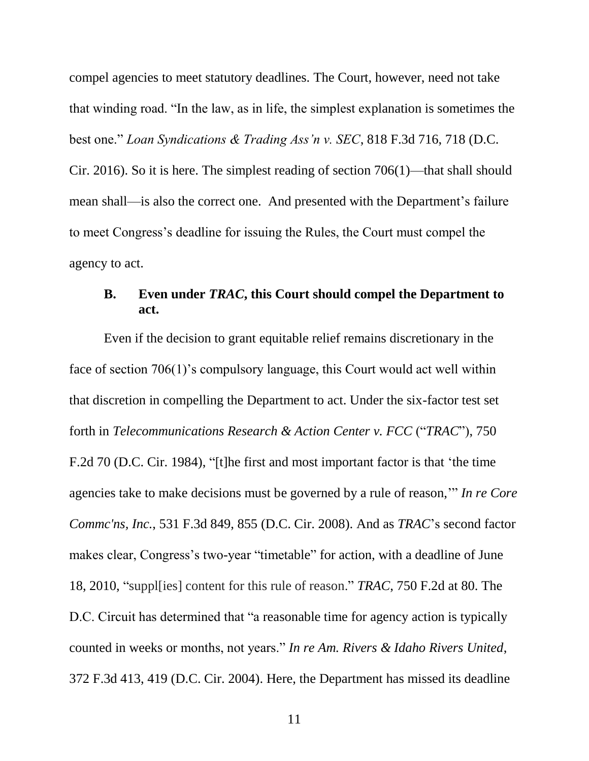<span id="page-17-2"></span>compel agencies to meet statutory deadlines. The Court, however, need not take that winding road. "In the law, as in life, the simplest explanation is sometimes the best one." *Loan Syndications & Trading Ass'n v. SEC*, 818 F.3d 716, 718 (D.C. Cir. 2016). So it is here. The simplest reading of section 706(1)—that shall should mean shall—is also the correct one. And presented with the Department's failure to meet Congress's deadline for issuing the Rules, the Court must compel the agency to act.

## <span id="page-17-3"></span><span id="page-17-1"></span>**B. Even under** *TRAC***, this Court should compel the Department to act.**

<span id="page-17-0"></span>Even if the decision to grant equitable relief remains discretionary in the face of section 706(1)'s compulsory language, this Court would act well within that discretion in compelling the Department to act. Under the six-factor test set forth in *Telecommunications Research & Action Center v. FCC* ("*TRAC*"), 750 F.2d 70 (D.C. Cir. 1984), "[t]he first and most important factor is that 'the time agencies take to make decisions must be governed by a rule of reason,'" *In re Core Commc'ns, Inc.*, 531 F.3d 849, 855 (D.C. Cir. 2008). And as *TRAC*'s second factor makes clear, Congress's two-year "timetable" for action, with a deadline of June 18, 2010, "suppl[ies] content for this rule of reason." *TRAC*, 750 F.2d at 80. The D.C. Circuit has determined that "a reasonable time for agency action is typically counted in weeks or months, not years." *In re Am. Rivers & Idaho Rivers United*, 372 F.3d 413, 419 (D.C. Cir. 2004). Here, the Department has missed its deadline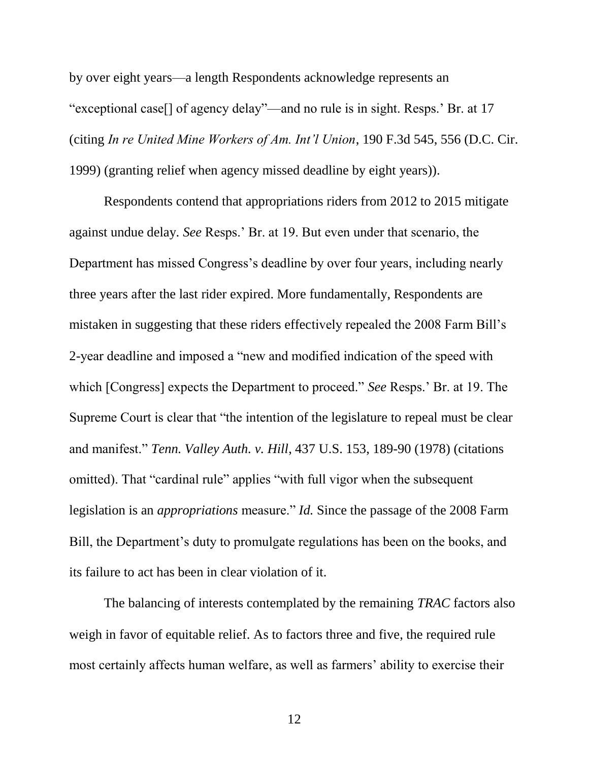by over eight years—a length Respondents acknowledge represents an "exceptional case[] of agency delay"—and no rule is in sight. Resps.' Br. at 17 (citing *In re United Mine Workers of Am. Int'l Union*, 190 F.3d 545, 556 (D.C. Cir. 1999) (granting relief when agency missed deadline by eight years)).

Respondents contend that appropriations riders from 2012 to 2015 mitigate against undue delay. *See* Resps.' Br. at 19. But even under that scenario, the Department has missed Congress's deadline by over four years, including nearly three years after the last rider expired. More fundamentally, Respondents are mistaken in suggesting that these riders effectively repealed the 2008 Farm Bill's 2-year deadline and imposed a "new and modified indication of the speed with which [Congress] expects the Department to proceed." *See* Resps.' Br. at 19. The Supreme Court is clear that "the intention of the legislature to repeal must be clear and manifest." *Tenn. Valley Auth. v. Hill*, 437 U.S. 153, 189-90 (1978) (citations omitted). That "cardinal rule" applies "with full vigor when the subsequent legislation is an *appropriations* measure." *Id.* Since the passage of the 2008 Farm Bill, the Department's duty to promulgate regulations has been on the books, and its failure to act has been in clear violation of it.

<span id="page-18-1"></span><span id="page-18-0"></span>The balancing of interests contemplated by the remaining *TRAC* factors also weigh in favor of equitable relief. As to factors three and five, the required rule most certainly affects human welfare, as well as farmers' ability to exercise their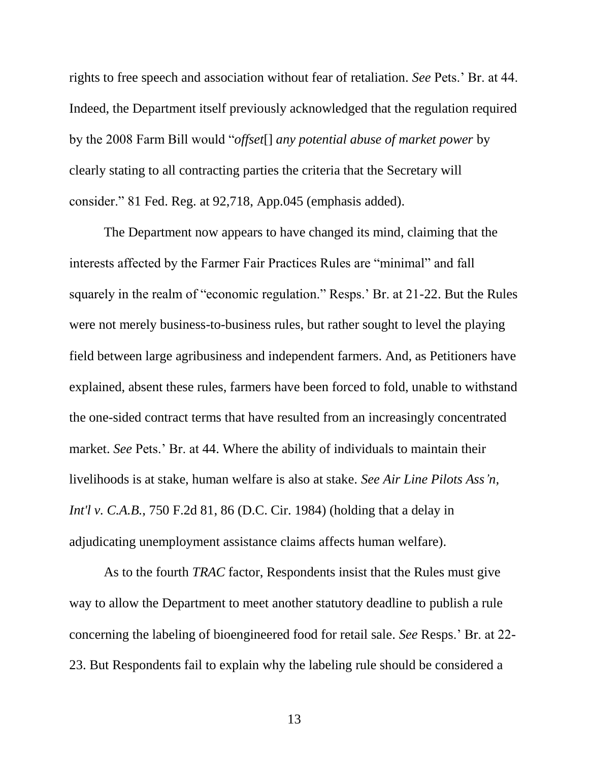rights to free speech and association without fear of retaliation. *See* Pets.' Br. at 44. Indeed, the Department itself previously acknowledged that the regulation required by the 2008 Farm Bill would "*offset*[] *any potential abuse of market power* by clearly stating to all contracting parties the criteria that the Secretary will consider." 81 Fed. Reg. at 92,718, App.045 (emphasis added).

The Department now appears to have changed its mind, claiming that the interests affected by the Farmer Fair Practices Rules are "minimal" and fall squarely in the realm of "economic regulation." Resps.' Br. at 21-22. But the Rules were not merely business-to-business rules, but rather sought to level the playing field between large agribusiness and independent farmers. And, as Petitioners have explained, absent these rules, farmers have been forced to fold, unable to withstand the one-sided contract terms that have resulted from an increasingly concentrated market. *See* Pets.' Br. at 44. Where the ability of individuals to maintain their livelihoods is at stake, human welfare is also at stake. *See Air Line Pilots Ass'n, Int'l v. C.A.B.*, 750 F.2d 81, 86 (D.C. Cir. 1984) (holding that a delay in adjudicating unemployment assistance claims affects human welfare).

<span id="page-19-1"></span><span id="page-19-0"></span>As to the fourth *TRAC* factor, Respondents insist that the Rules must give way to allow the Department to meet another statutory deadline to publish a rule concerning the labeling of bioengineered food for retail sale. *See* Resps.' Br. at 22- 23. But Respondents fail to explain why the labeling rule should be considered a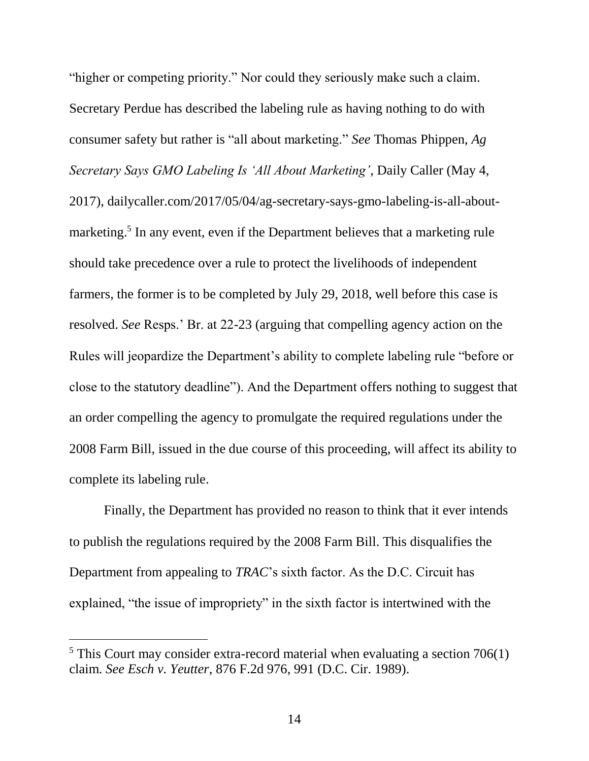<span id="page-20-1"></span>"higher or competing priority." Nor could they seriously make such a claim. Secretary Perdue has described the labeling rule as having nothing to do with consumer safety but rather is "all about marketing." *See* Thomas Phippen, *Ag Secretary Says GMO Labeling Is 'All About Marketing'*, Daily Caller (May 4, 2017), dailycaller.com/2017/05/04/ag-secretary-says-gmo-labeling-is-all-aboutmarketing. 5 In any event, even if the Department believes that a marketing rule should take precedence over a rule to protect the livelihoods of independent farmers, the former is to be completed by July 29, 2018, well before this case is resolved. *See* Resps.' Br. at 22-23 (arguing that compelling agency action on the Rules will jeopardize the Department's ability to complete labeling rule "before or close to the statutory deadline"). And the Department offers nothing to suggest that an order compelling the agency to promulgate the required regulations under the 2008 Farm Bill, issued in the due course of this proceeding, will affect its ability to complete its labeling rule.

Finally, the Department has provided no reason to think that it ever intends to publish the regulations required by the 2008 Farm Bill. This disqualifies the Department from appealing to *TRAC*'s sixth factor. As the D.C. Circuit has explained, "the issue of impropriety" in the sixth factor is intertwined with the

 $\overline{a}$ 

<span id="page-20-0"></span> $5$  This Court may consider extra-record material when evaluating a section 706(1) claim. *See Esch v. Yeutter*, 876 F.2d 976, 991 (D.C. Cir. 1989).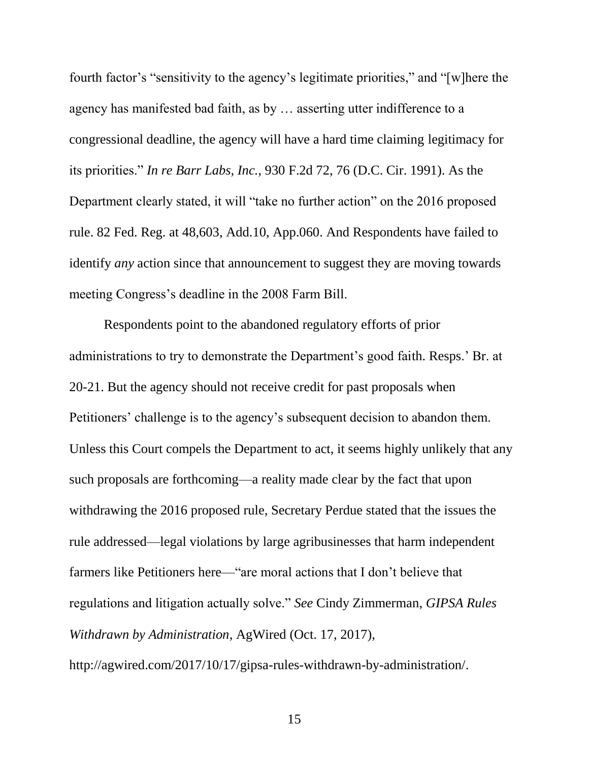<span id="page-21-0"></span>fourth factor's "sensitivity to the agency's legitimate priorities," and "[w]here the agency has manifested bad faith, as by … asserting utter indifference to a congressional deadline, the agency will have a hard time claiming legitimacy for its priorities." *In re Barr Labs, Inc.*, 930 F.2d 72, 76 (D.C. Cir. 1991). As the Department clearly stated, it will "take no further action" on the 2016 proposed rule. 82 Fed. Reg. at 48,603, Add.10, App.060. And Respondents have failed to identify *any* action since that announcement to suggest they are moving towards meeting Congress's deadline in the 2008 Farm Bill.

<span id="page-21-1"></span>Respondents point to the abandoned regulatory efforts of prior administrations to try to demonstrate the Department's good faith. Resps.' Br. at 20-21. But the agency should not receive credit for past proposals when Petitioners' challenge is to the agency's subsequent decision to abandon them. Unless this Court compels the Department to act, it seems highly unlikely that any such proposals are forthcoming—a reality made clear by the fact that upon withdrawing the 2016 proposed rule, Secretary Perdue stated that the issues the rule addressed—legal violations by large agribusinesses that harm independent farmers like Petitioners here—"are moral actions that I don't believe that regulations and litigation actually solve." *See* Cindy Zimmerman, *GIPSA Rules Withdrawn by Administration*, AgWired (Oct. 17, 2017),

<span id="page-21-2"></span>http://agwired.com/2017/10/17/gipsa-rules-withdrawn-by-administration/.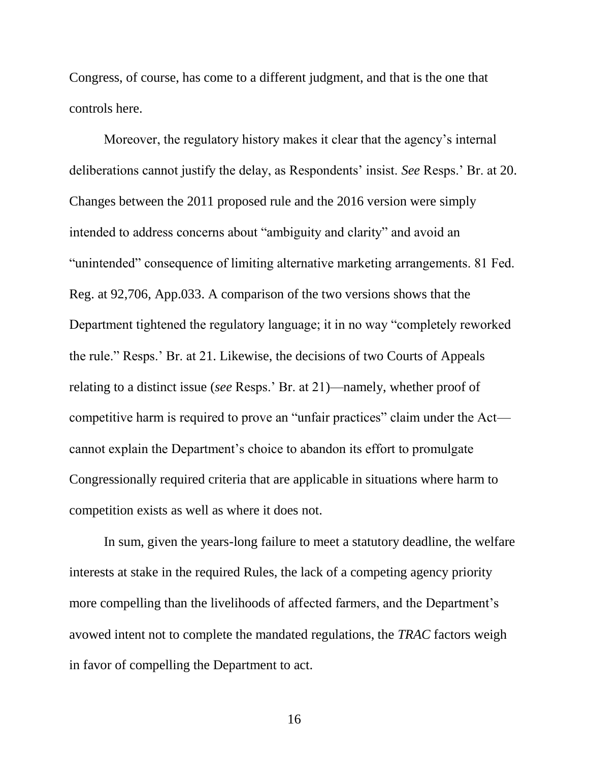Congress, of course, has come to a different judgment, and that is the one that controls here.

Moreover, the regulatory history makes it clear that the agency's internal deliberations cannot justify the delay, as Respondents' insist. *See* Resps.' Br. at 20. Changes between the 2011 proposed rule and the 2016 version were simply intended to address concerns about "ambiguity and clarity" and avoid an "unintended" consequence of limiting alternative marketing arrangements. 81 Fed. Reg. at 92,706, App.033. A comparison of the two versions shows that the Department tightened the regulatory language; it in no way "completely reworked the rule." Resps.' Br. at 21. Likewise, the decisions of two Courts of Appeals relating to a distinct issue (*see* Resps.' Br. at 21)—namely, whether proof of competitive harm is required to prove an "unfair practices" claim under the Act cannot explain the Department's choice to abandon its effort to promulgate Congressionally required criteria that are applicable in situations where harm to competition exists as well as where it does not.

<span id="page-22-0"></span>In sum, given the years-long failure to meet a statutory deadline, the welfare interests at stake in the required Rules, the lack of a competing agency priority more compelling than the livelihoods of affected farmers, and the Department's avowed intent not to complete the mandated regulations, the *TRAC* factors weigh in favor of compelling the Department to act.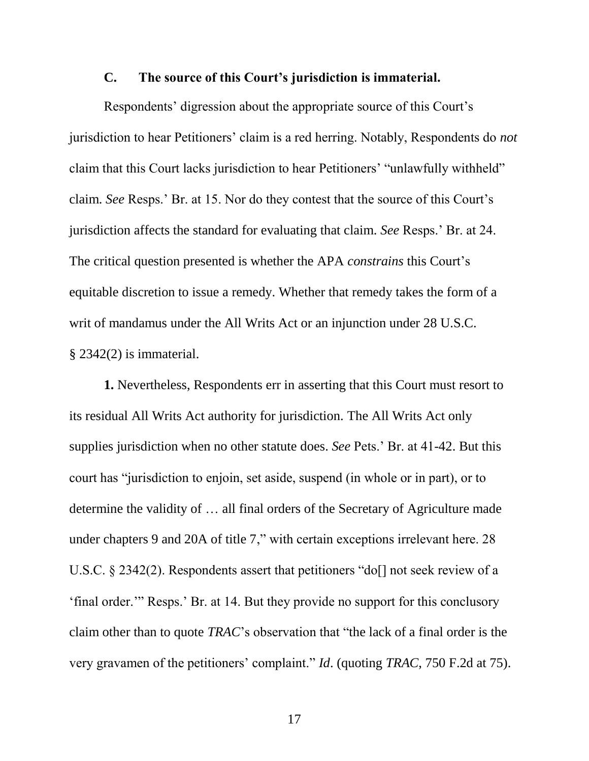#### **C. The source of this Court's jurisdiction is immaterial.**

Respondents' digression about the appropriate source of this Court's jurisdiction to hear Petitioners' claim is a red herring. Notably, Respondents do *not* claim that this Court lacks jurisdiction to hear Petitioners' "unlawfully withheld" claim. *See* Resps.' Br. at 15. Nor do they contest that the source of this Court's jurisdiction affects the standard for evaluating that claim. *See* Resps.' Br. at 24. The critical question presented is whether the APA *constrains* this Court's equitable discretion to issue a remedy. Whether that remedy takes the form of a writ of mandamus under the All Writs Act or an injunction under 28 U.S.C. § 2342(2) is immaterial.

<span id="page-23-0"></span>**1.** Nevertheless, Respondents err in asserting that this Court must resort to its residual All Writs Act authority for jurisdiction. The All Writs Act only supplies jurisdiction when no other statute does. *See* Pets.' Br. at 41-42. But this court has "jurisdiction to enjoin, set aside, suspend (in whole or in part), or to determine the validity of … all final orders of the Secretary of Agriculture made under chapters 9 and 20A of title 7," with certain exceptions irrelevant here. 28 U.S.C. § 2342(2). Respondents assert that petitioners "do<sup>[]</sup> not seek review of a 'final order.'" Resps.' Br. at 14. But they provide no support for this conclusory claim other than to quote *TRAC*'s observation that "the lack of a final order is the very gravamen of the petitioners' complaint." *Id*. (quoting *TRAC*, 750 F.2d at 75).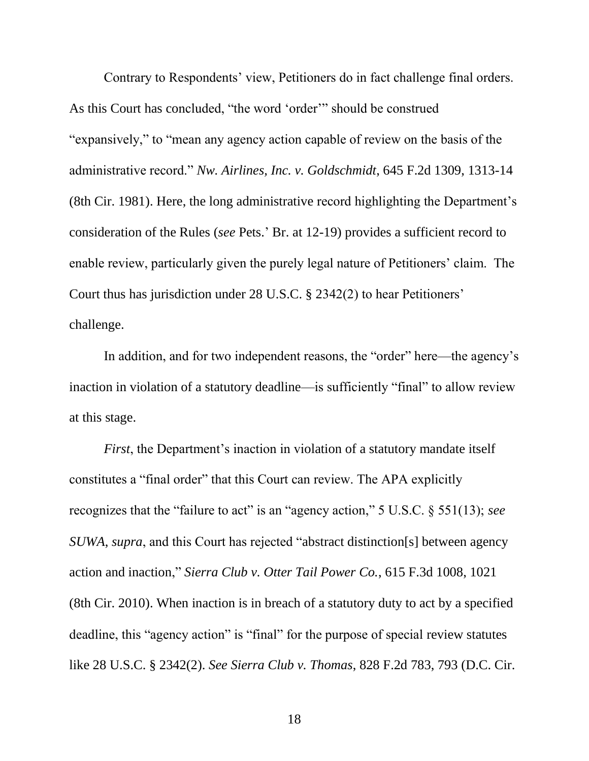<span id="page-24-1"></span>Contrary to Respondents' view, Petitioners do in fact challenge final orders. As this Court has concluded, "the word 'order'" should be construed "expansively," to "mean any agency action capable of review on the basis of the administrative record." *Nw. Airlines, Inc. v. Goldschmidt*, 645 F.2d 1309, 1313-14 (8th Cir. 1981). Here, the long administrative record highlighting the Department's consideration of the Rules (*see* Pets.' Br. at 12-19) provides a sufficient record to enable review, particularly given the purely legal nature of Petitioners' claim. The Court thus has jurisdiction under 28 U.S.C. § 2342(2) to hear Petitioners' challenge.

<span id="page-24-5"></span>In addition, and for two independent reasons, the "order" here—the agency's inaction in violation of a statutory deadline—is sufficiently "final" to allow review at this stage.

<span id="page-24-4"></span><span id="page-24-3"></span><span id="page-24-2"></span><span id="page-24-0"></span>*First*, the Department's inaction in violation of a statutory mandate itself constitutes a "final order" that this Court can review. The APA explicitly recognizes that the "failure to act" is an "agency action," 5 U.S.C. § 551(13); *see SUWA*, *supra*, and this Court has rejected "abstract distinction[s] between agency action and inaction," *Sierra Club v. Otter Tail Power Co.*, 615 F.3d 1008, 1021 (8th Cir. 2010). When inaction is in breach of a statutory duty to act by a specified deadline, this "agency action" is "final" for the purpose of special review statutes like 28 U.S.C. § 2342(2). *See Sierra Club v. Thomas*, 828 F.2d 783, 793 (D.C. Cir.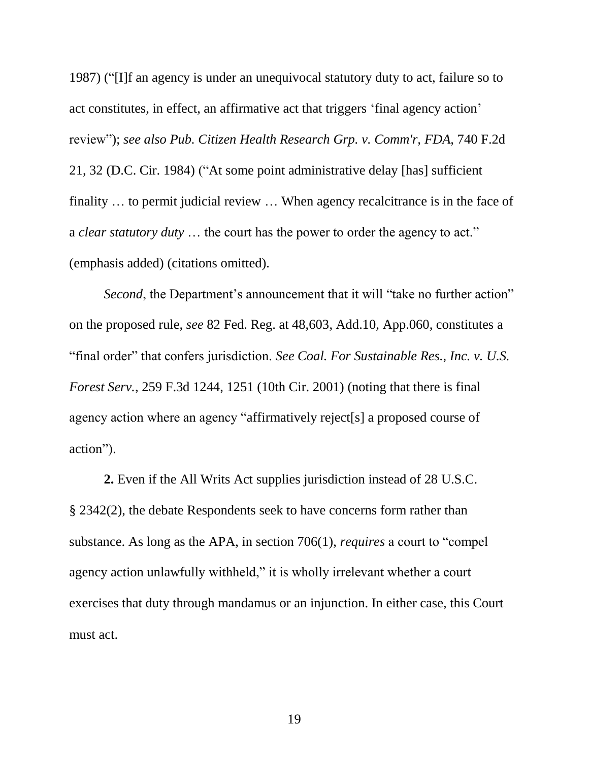<span id="page-25-1"></span>1987) ("[I]f an agency is under an unequivocal statutory duty to act, failure so to act constitutes, in effect, an affirmative act that triggers 'final agency action' review"); *see also Pub. Citizen Health Research Grp. v. Comm'r, FDA*, 740 F.2d 21, 32 (D.C. Cir. 1984) ("At some point administrative delay [has] sufficient finality … to permit judicial review … When agency recalcitrance is in the face of a *clear statutory duty* … the court has the power to order the agency to act." (emphasis added) (citations omitted).

<span id="page-25-3"></span><span id="page-25-0"></span>*Second*, the Department's announcement that it will "take no further action" on the proposed rule, *see* 82 Fed. Reg. at 48,603, Add.10, App.060, constitutes a "final order" that confers jurisdiction. *See Coal. For Sustainable Res., Inc. v. U.S. Forest Serv.*, 259 F.3d 1244, 1251 (10th Cir. 2001) (noting that there is final agency action where an agency "affirmatively reject[s] a proposed course of action").

<span id="page-25-2"></span>**2.** Even if the All Writs Act supplies jurisdiction instead of 28 U.S.C. § 2342(2), the debate Respondents seek to have concerns form rather than substance. As long as the APA, in section 706(1), *requires* a court to "compel agency action unlawfully withheld," it is wholly irrelevant whether a court exercises that duty through mandamus or an injunction. In either case, this Court must act.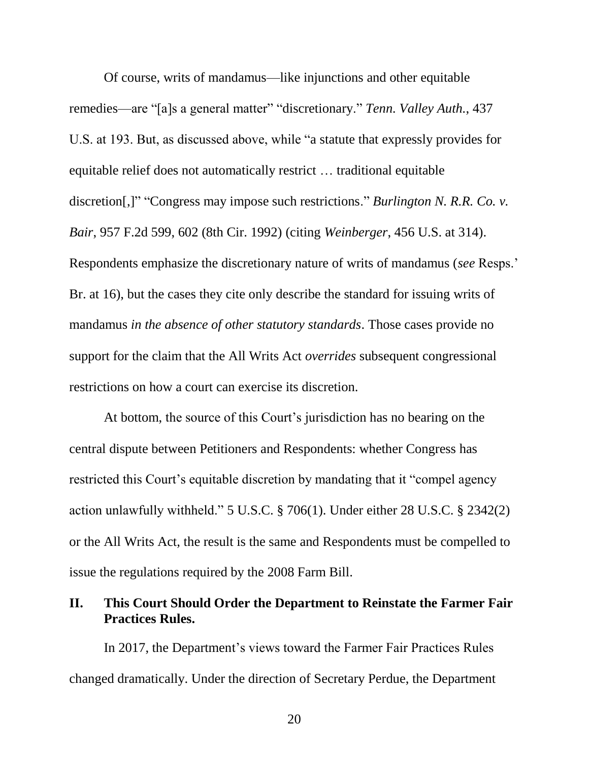<span id="page-26-1"></span><span id="page-26-0"></span>Of course, writs of mandamus—like injunctions and other equitable remedies—are "[a]s a general matter" "discretionary." *Tenn. Valley Auth.*, 437 U.S. at 193. But, as discussed above, while "a statute that expressly provides for equitable relief does not automatically restrict … traditional equitable discretion[,]" "Congress may impose such restrictions." *Burlington N. R.R. Co. v. Bair*, 957 F.2d 599, 602 (8th Cir. 1992) (citing *Weinberger*, 456 U.S. at 314). Respondents emphasize the discretionary nature of writs of mandamus (*see* Resps.' Br. at 16), but the cases they cite only describe the standard for issuing writs of mandamus *in the absence of other statutory standards*. Those cases provide no support for the claim that the All Writs Act *overrides* subsequent congressional restrictions on how a court can exercise its discretion.

<span id="page-26-2"></span>At bottom, the source of this Court's jurisdiction has no bearing on the central dispute between Petitioners and Respondents: whether Congress has restricted this Court's equitable discretion by mandating that it "compel agency action unlawfully withheld." 5 U.S.C. § 706(1). Under either 28 U.S.C. § 2342(2) or the All Writs Act, the result is the same and Respondents must be compelled to issue the regulations required by the 2008 Farm Bill.

## **II. This Court Should Order the Department to Reinstate the Farmer Fair Practices Rules.**

In 2017, the Department's views toward the Farmer Fair Practices Rules changed dramatically. Under the direction of Secretary Perdue, the Department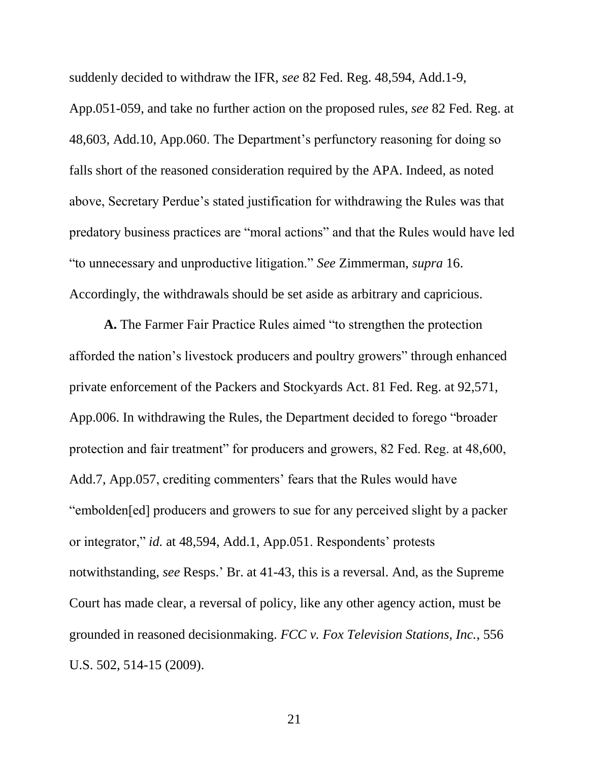<span id="page-27-1"></span>suddenly decided to withdraw the IFR, *see* 82 Fed. Reg. 48,594, Add.1-9, App.051-059, and take no further action on the proposed rules, *see* 82 Fed. Reg. at 48,603, Add.10, App.060. The Department's perfunctory reasoning for doing so falls short of the reasoned consideration required by the APA. Indeed, as noted above, Secretary Perdue's stated justification for withdrawing the Rules was that predatory business practices are "moral actions" and that the Rules would have led "to unnecessary and unproductive litigation." *See* Zimmerman, *supra* 16. Accordingly, the withdrawals should be set aside as arbitrary and capricious.

<span id="page-27-0"></span>**A.** The Farmer Fair Practice Rules aimed "to strengthen the protection afforded the nation's livestock producers and poultry growers" through enhanced private enforcement of the Packers and Stockyards Act. 81 Fed. Reg. at 92,571, App.006. In withdrawing the Rules, the Department decided to forego "broader protection and fair treatment" for producers and growers, 82 Fed. Reg. at 48,600, Add.7, App.057, crediting commenters' fears that the Rules would have "embolden[ed] producers and growers to sue for any perceived slight by a packer or integrator," *id.* at 48,594, Add.1, App.051. Respondents' protests notwithstanding, *see* Resps.' Br. at 41-43, this is a reversal. And, as the Supreme Court has made clear, a reversal of policy, like any other agency action, must be grounded in reasoned decisionmaking. *FCC v. Fox Television Stations, Inc.*, 556 U.S. 502, 514-15 (2009).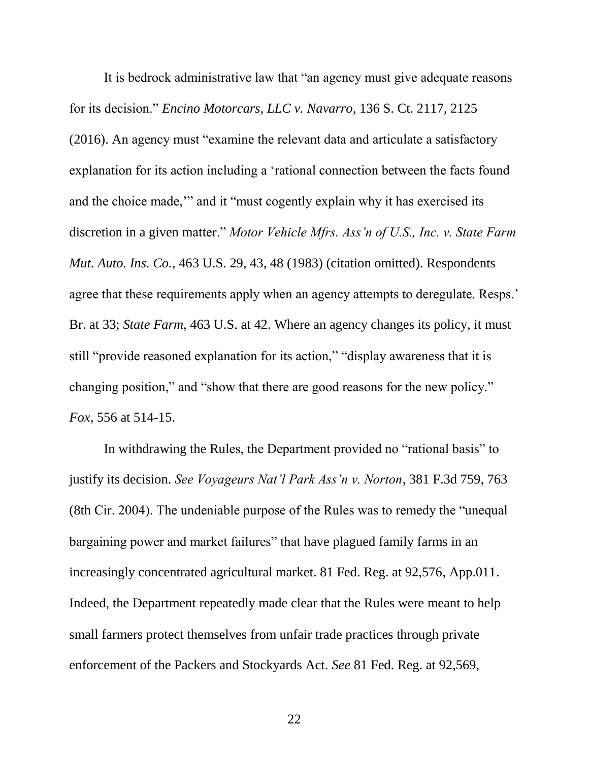<span id="page-28-2"></span><span id="page-28-0"></span>It is bedrock administrative law that "an agency must give adequate reasons for its decision." *Encino Motorcars, LLC v. Navarro*, 136 S. Ct. 2117, 2125 (2016). An agency must "examine the relevant data and articulate a satisfactory explanation for its action including a 'rational connection between the facts found and the choice made,'" and it "must cogently explain why it has exercised its discretion in a given matter." *Motor Vehicle Mfrs. Ass'n of U.S., Inc. v. State Farm Mut. Auto. Ins. Co.*, 463 U.S. 29, 43, 48 (1983) (citation omitted). Respondents agree that these requirements apply when an agency attempts to deregulate. Resps.' Br. at 33; *State Farm*, 463 U.S. at 42. Where an agency changes its policy, it must still "provide reasoned explanation for its action," "display awareness that it is changing position," and "show that there are good reasons for the new policy." *Fox*, 556 at 514-15.

<span id="page-28-3"></span><span id="page-28-1"></span>In withdrawing the Rules, the Department provided no "rational basis" to justify its decision. *See Voyageurs Nat'l Park Ass'n v. Norton*, 381 F.3d 759, 763 (8th Cir. 2004). The undeniable purpose of the Rules was to remedy the "unequal bargaining power and market failures" that have plagued family farms in an increasingly concentrated agricultural market. 81 Fed. Reg. at 92,576, App.011. Indeed, the Department repeatedly made clear that the Rules were meant to help small farmers protect themselves from unfair trade practices through private enforcement of the Packers and Stockyards Act. *See* 81 Fed. Reg. at 92,569,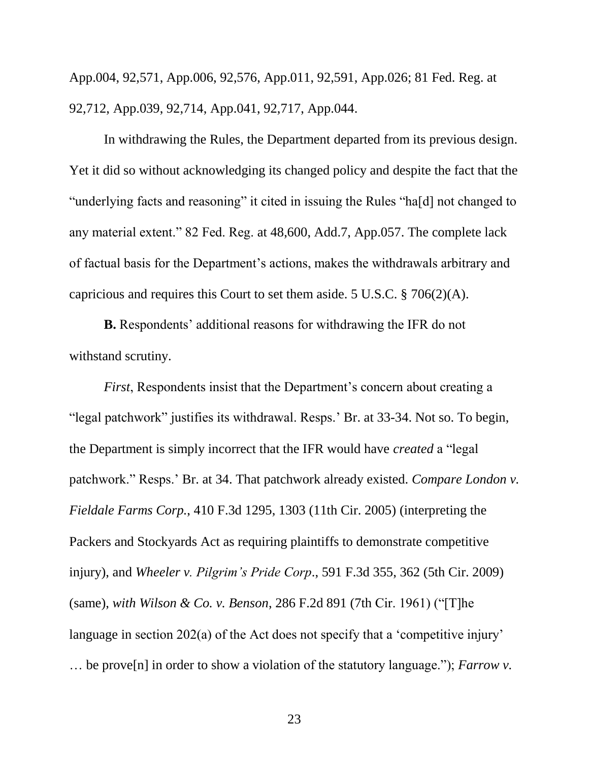App.004, 92,571, App.006, 92,576, App.011, 92,591, App.026; 81 Fed. Reg. at 92,712, App.039, 92,714, App.041, 92,717, App.044.

In withdrawing the Rules, the Department departed from its previous design. Yet it did so without acknowledging its changed policy and despite the fact that the "underlying facts and reasoning" it cited in issuing the Rules "ha[d] not changed to any material extent." 82 Fed. Reg. at 48,600, Add.7, App.057. The complete lack of factual basis for the Department's actions, makes the withdrawals arbitrary and capricious and requires this Court to set them aside. 5 U.S.C. § 706(2)(A).

<span id="page-29-4"></span>**B.** Respondents' additional reasons for withdrawing the IFR do not withstand scrutiny.

<span id="page-29-3"></span><span id="page-29-2"></span><span id="page-29-1"></span><span id="page-29-0"></span>*First*, Respondents insist that the Department's concern about creating a "legal patchwork" justifies its withdrawal. Resps.' Br. at 33-34. Not so. To begin, the Department is simply incorrect that the IFR would have *created* a "legal patchwork." Resps.' Br. at 34. That patchwork already existed. *Compare London v. Fieldale Farms Corp.*, 410 F.3d 1295, 1303 (11th Cir. 2005) (interpreting the Packers and Stockyards Act as requiring plaintiffs to demonstrate competitive injury), and *Wheeler v. Pilgrim's Pride Corp*., 591 F.3d 355, 362 (5th Cir. 2009) (same), *with Wilson & Co. v. Benson*, 286 F.2d 891 (7th Cir. 1961) ("[T]he language in section 202(a) of the Act does not specify that a 'competitive injury' … be prove[n] in order to show a violation of the statutory language."); *Farrow v.*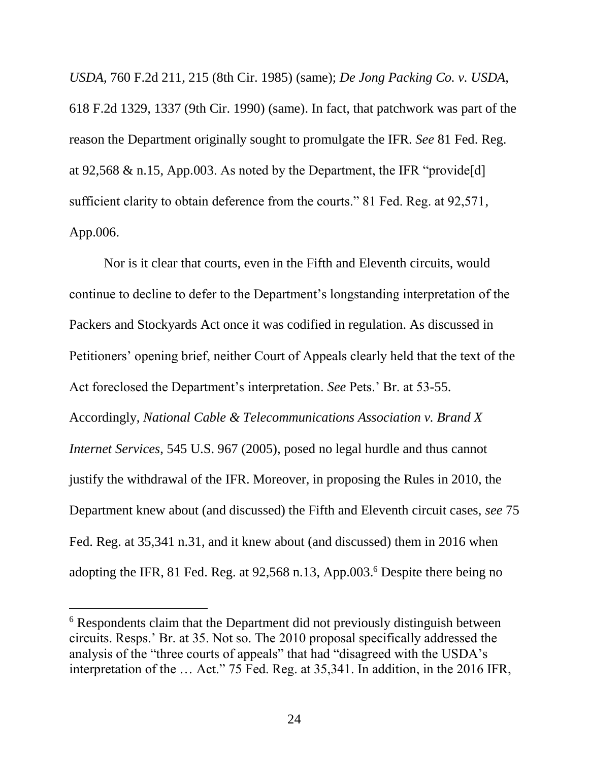<span id="page-30-0"></span>*USDA*, 760 F.2d 211, 215 (8th Cir. 1985) (same); *De Jong Packing Co. v. USDA*, 618 F.2d 1329, 1337 (9th Cir. 1990) (same). In fact, that patchwork was part of the reason the Department originally sought to promulgate the IFR. *See* 81 Fed. Reg. at 92,568  $\&$  n.15, App.003. As noted by the Department, the IFR "provide[d] sufficient clarity to obtain deference from the courts." 81 Fed. Reg. at 92,571, App.006.

<span id="page-30-1"></span>Nor is it clear that courts, even in the Fifth and Eleventh circuits, would continue to decline to defer to the Department's longstanding interpretation of the Packers and Stockyards Act once it was codified in regulation. As discussed in Petitioners' opening brief, neither Court of Appeals clearly held that the text of the Act foreclosed the Department's interpretation. *See* Pets.' Br. at 53-55. Accordingly, *National Cable & Telecommunications Association v. Brand X Internet Services*, 545 U.S. 967 (2005), posed no legal hurdle and thus cannot justify the withdrawal of the IFR. Moreover, in proposing the Rules in 2010, the Department knew about (and discussed) the Fifth and Eleventh circuit cases, *see* 75 Fed. Reg. at 35,341 n.31, and it knew about (and discussed) them in 2016 when adopting the IFR, 81 Fed. Reg. at 92,568 n.13, App.003. <sup>6</sup> Despite there being no

<span id="page-30-2"></span> $\overline{a}$ 

<sup>&</sup>lt;sup>6</sup> Respondents claim that the Department did not previously distinguish between circuits. Resps.' Br. at 35. Not so. The 2010 proposal specifically addressed the analysis of the "three courts of appeals" that had "disagreed with the USDA's interpretation of the … Act." 75 Fed. Reg. at 35,341. In addition, in the 2016 IFR,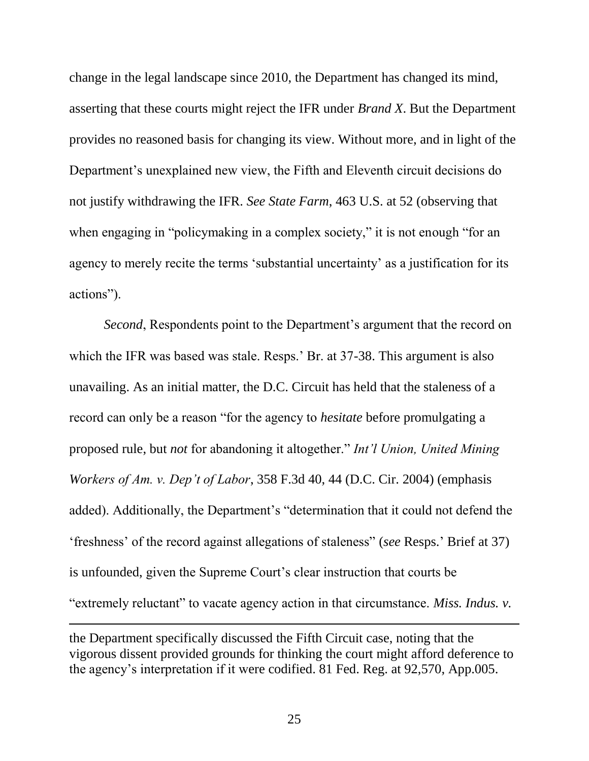<span id="page-31-3"></span><span id="page-31-2"></span>change in the legal landscape since 2010, the Department has changed its mind, asserting that these courts might reject the IFR under *Brand X*. But the Department provides no reasoned basis for changing its view. Without more, and in light of the Department's unexplained new view, the Fifth and Eleventh circuit decisions do not justify withdrawing the IFR. *See State Farm*, 463 U.S. at 52 (observing that when engaging in "policymaking in a complex society," it is not enough "for an agency to merely recite the terms 'substantial uncertainty' as a justification for its actions").

<span id="page-31-0"></span>*Second*, Respondents point to the Department's argument that the record on which the IFR was based was stale. Resps.' Br. at 37-38. This argument is also unavailing. As an initial matter, the D.C. Circuit has held that the staleness of a record can only be a reason "for the agency to *hesitate* before promulgating a proposed rule, but *not* for abandoning it altogether." *Int'l Union, United Mining Workers of Am. v. Dep't of Labor*, 358 F.3d 40, 44 (D.C. Cir. 2004) (emphasis added). Additionally, the Department's "determination that it could not defend the 'freshness' of the record against allegations of staleness" (*see* Resps.' Brief at 37) is unfounded, given the Supreme Court's clear instruction that courts be "extremely reluctant" to vacate agency action in that circumstance. *Miss. Indus. v.* 

the Department specifically discussed the Fifth Circuit case, noting that the vigorous dissent provided grounds for thinking the court might afford deference to the agency's interpretation if it were codified. 81 Fed. Reg. at 92,570, App.005.

<span id="page-31-1"></span> $\overline{a}$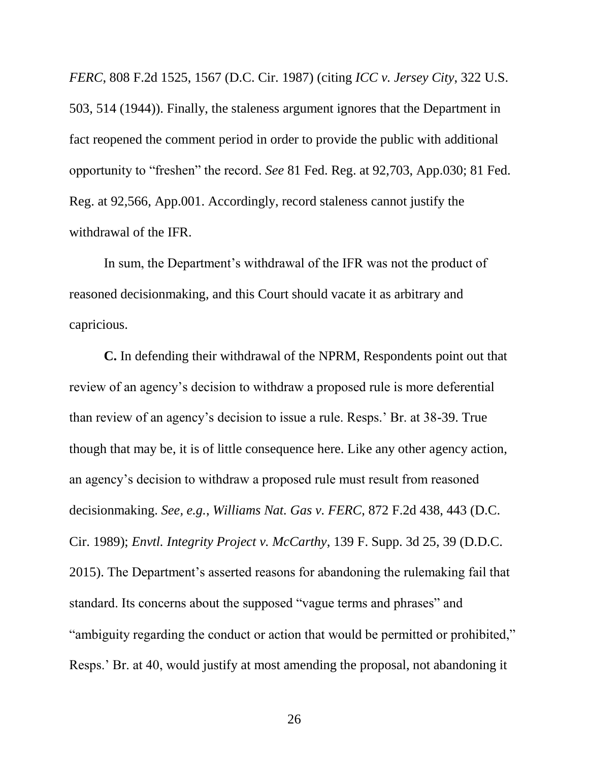*FERC*, 808 F.2d 1525, 1567 (D.C. Cir. 1987) (citing *ICC v. Jersey City*, 322 U.S. 503, 514 (1944)). Finally, the staleness argument ignores that the Department in fact reopened the comment period in order to provide the public with additional opportunity to "freshen" the record. *See* 81 Fed. Reg. at 92,703, App.030; 81 Fed. Reg. at 92,566, App.001. Accordingly, record staleness cannot justify the withdrawal of the IFR.

In sum, the Department's withdrawal of the IFR was not the product of reasoned decisionmaking, and this Court should vacate it as arbitrary and capricious.

<span id="page-32-1"></span><span id="page-32-0"></span>**C.** In defending their withdrawal of the NPRM, Respondents point out that review of an agency's decision to withdraw a proposed rule is more deferential than review of an agency's decision to issue a rule. Resps.' Br. at 38-39. True though that may be, it is of little consequence here. Like any other agency action, an agency's decision to withdraw a proposed rule must result from reasoned decisionmaking. *See, e.g.*, *Williams Nat. Gas v. FERC*, 872 F.2d 438, 443 (D.C. Cir. 1989); *Envtl. Integrity Project v. McCarthy*, 139 F. Supp. 3d 25, 39 (D.D.C. 2015). The Department's asserted reasons for abandoning the rulemaking fail that standard. Its concerns about the supposed "vague terms and phrases" and "ambiguity regarding the conduct or action that would be permitted or prohibited," Resps.' Br. at 40, would justify at most amending the proposal, not abandoning it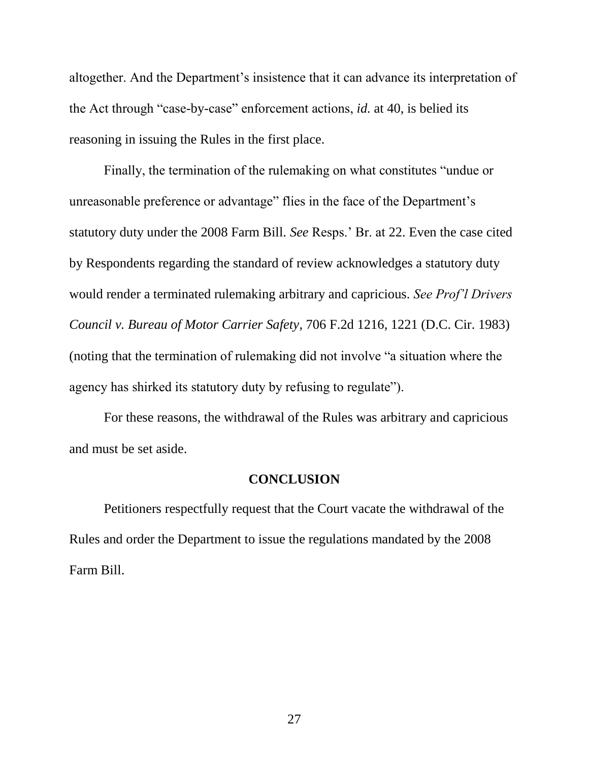altogether. And the Department's insistence that it can advance its interpretation of the Act through "case-by-case" enforcement actions, *id.* at 40, is belied its reasoning in issuing the Rules in the first place.

Finally, the termination of the rulemaking on what constitutes "undue or unreasonable preference or advantage" flies in the face of the Department's statutory duty under the 2008 Farm Bill. *See* Resps.' Br. at 22. Even the case cited by Respondents regarding the standard of review acknowledges a statutory duty would render a terminated rulemaking arbitrary and capricious. *See Prof'l Drivers Council v. Bureau of Motor Carrier Safety*, 706 F.2d 1216, 1221 (D.C. Cir. 1983) (noting that the termination of rulemaking did not involve "a situation where the agency has shirked its statutory duty by refusing to regulate").

For these reasons, the withdrawal of the Rules was arbitrary and capricious and must be set aside.

#### <span id="page-33-1"></span>**CONCLUSION**

<span id="page-33-0"></span>Petitioners respectfully request that the Court vacate the withdrawal of the Rules and order the Department to issue the regulations mandated by the 2008 Farm Bill.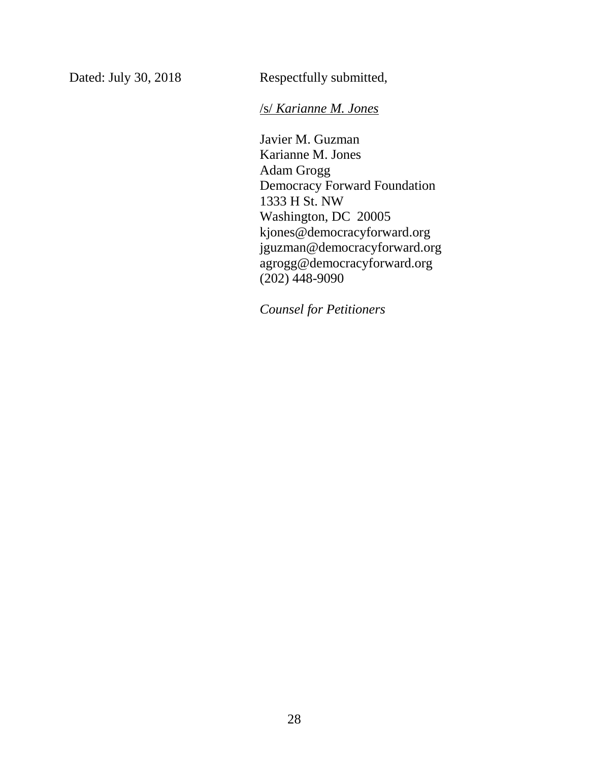Dated: July 30, 2018 Respectfully submitted,

/s/ *Karianne M. Jones*

Javier M. Guzman Karianne M. Jones Adam Grogg Democracy Forward Foundation 1333 H St. NW Washington, DC 20005 kjones@democracyforward.org jguzman@democracyforward.org agrogg@democracyforward.org (202) 448-9090

*Counsel for Petitioners*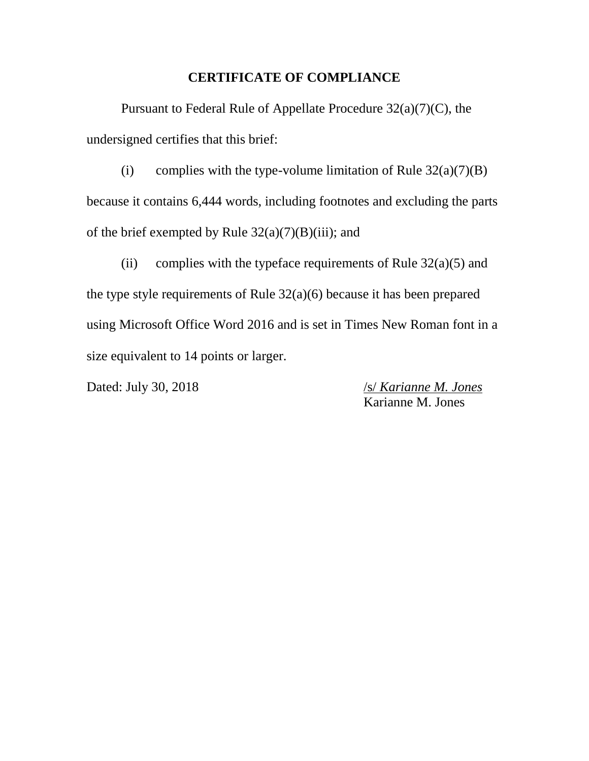#### **CERTIFICATE OF COMPLIANCE**

Pursuant to Federal Rule of Appellate Procedure 32(a)(7)(C), the undersigned certifies that this brief:

(i) complies with the type-volume limitation of Rule  $32(a)(7)(B)$ because it contains 6,444 words, including footnotes and excluding the parts of the brief exempted by Rule  $32(a)(7)(B)(iii)$ ; and

(ii) complies with the typeface requirements of Rule  $32(a)(5)$  and the type style requirements of Rule  $32(a)(6)$  because it has been prepared using Microsoft Office Word 2016 and is set in Times New Roman font in a size equivalent to 14 points or larger.

Dated: July 30, 2018 /s/ *Karianne M. Jones* Karianne M. Jones